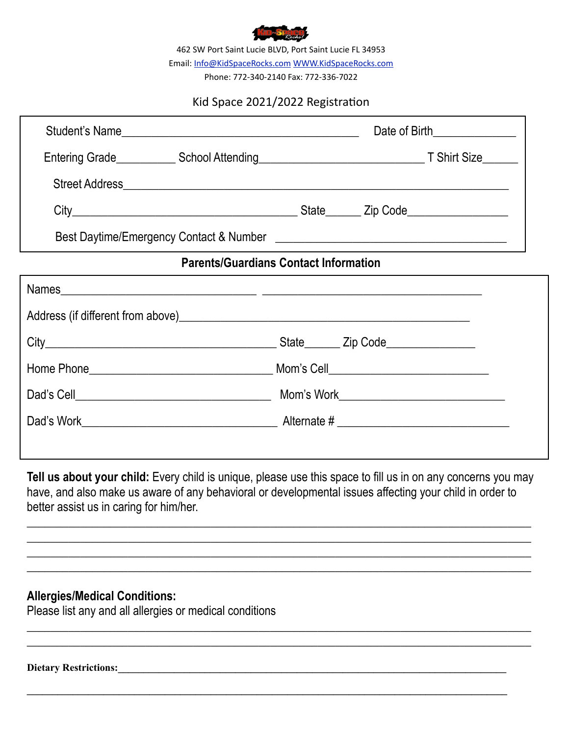

462 SW Port Saint Lucie BLVD, Port Saint Lucie FL 34953 Email: [Info@KidSpaceRocks.com](mailto:Info@KidSpaceRocks.com) [WWW.KidSpaceRocks.com](http://WWW.KidSpaceRocks.com)

Phone: 772-340-2140 Fax: 772-336-7022

## Kid Space 2021/2022 Registration

| Student's Name                               |  | Date of Birth________________ |  |  |  |  |
|----------------------------------------------|--|-------------------------------|--|--|--|--|
|                                              |  |                               |  |  |  |  |
|                                              |  |                               |  |  |  |  |
|                                              |  |                               |  |  |  |  |
|                                              |  |                               |  |  |  |  |
| <b>Parents/Guardians Contact Information</b> |  |                               |  |  |  |  |
|                                              |  |                               |  |  |  |  |
|                                              |  |                               |  |  |  |  |
|                                              |  |                               |  |  |  |  |
|                                              |  |                               |  |  |  |  |

| Dad's Cell | Mom's Work  |
|------------|-------------|
| Dad's Work | Alternate # |

**Tell us about your child:** Every child is unique, please use this space to fill us in on any concerns you may have, and also make us aware of any behavioral or developmental issues affecting your child in order to better assist us in caring for him/her.

**\_\_\_\_\_\_\_\_\_\_\_\_\_\_\_\_\_\_\_\_\_\_\_\_\_\_\_\_\_\_\_\_\_\_\_\_\_\_\_\_\_\_\_\_\_\_\_\_\_\_\_\_\_\_\_\_\_\_\_\_\_\_\_\_\_\_\_\_\_\_\_\_\_\_\_\_\_\_\_\_\_\_\_\_\_ \_\_\_\_\_\_\_\_\_\_\_\_\_\_\_\_\_\_\_\_\_\_\_\_\_\_\_\_\_\_\_\_\_\_\_\_\_\_\_\_\_\_\_\_\_\_\_\_\_\_\_\_\_\_\_\_\_\_\_\_\_\_\_\_\_\_\_\_\_\_\_\_\_\_\_\_\_\_\_\_\_\_\_\_\_ \_\_\_\_\_\_\_\_\_\_\_\_\_\_\_\_\_\_\_\_\_\_\_\_\_\_\_\_\_\_\_\_\_\_\_\_\_\_\_\_\_\_\_\_\_\_\_\_\_\_\_\_\_\_\_\_\_\_\_\_\_\_\_\_\_\_\_\_\_\_\_\_\_\_\_\_\_\_\_\_\_\_\_\_\_ \_\_\_\_\_\_\_\_\_\_\_\_\_\_\_\_\_\_\_\_\_\_\_\_\_\_\_\_\_\_\_\_\_\_\_\_\_\_\_\_\_\_\_\_\_\_\_\_\_\_\_\_\_\_\_\_\_\_\_\_\_\_\_\_\_\_\_\_\_\_\_\_\_\_\_\_\_\_\_\_\_\_\_\_\_**

\_\_\_\_\_\_\_\_\_\_\_\_\_\_\_\_\_\_\_\_\_\_\_\_\_\_\_\_\_\_\_\_\_\_\_\_\_\_\_\_\_\_\_\_\_\_\_\_\_\_\_\_\_\_\_\_\_\_\_\_\_\_\_\_\_\_\_\_\_\_\_\_\_\_\_\_\_\_\_\_\_\_\_\_\_  $\_$  , and the set of the set of the set of the set of the set of the set of the set of the set of the set of the set of the set of the set of the set of the set of the set of the set of the set of the set of the set of th

**\_\_\_\_\_\_\_\_\_\_\_\_\_\_\_\_\_\_\_\_\_\_\_\_\_\_\_\_\_\_\_\_\_\_\_\_\_\_\_\_\_\_\_\_\_\_\_\_\_\_\_\_\_\_\_\_\_\_\_\_\_\_\_\_\_\_\_\_\_\_\_\_\_\_\_\_\_\_\_\_\_\_\_\_\_\_\_\_\_\_\_\_\_\_**

## **Allergies/Medical Conditions:**

Please list any and all allergies or medical conditions

**Dietary Restrictions:\_\_\_\_\_\_\_\_\_\_\_\_\_\_\_\_\_\_\_\_\_\_\_\_\_\_\_\_\_\_\_\_\_\_\_\_\_\_\_\_\_\_\_\_\_\_\_\_\_\_\_\_\_\_\_\_\_\_\_\_\_\_\_\_\_\_\_\_\_\_\_\_\_\_\_\_**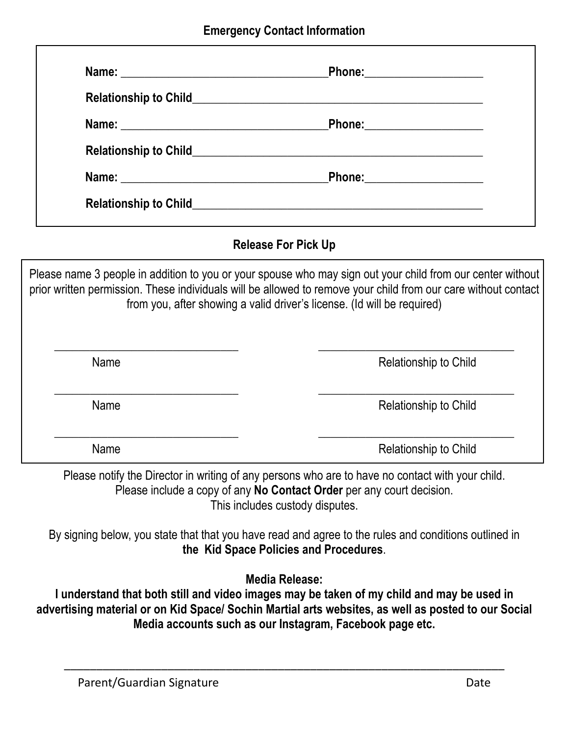| <b>Relationship to Child</b> | <u> 1989 - Andrea Andrew Maria (h. 1989).</u> |  |
|------------------------------|-----------------------------------------------|--|
|                              |                                               |  |
| <b>Relationship to Child</b> |                                               |  |
|                              |                                               |  |
| <b>Relationship to Child</b> |                                               |  |

# **Release For Pick Up**

Please name 3 people in addition to you or your spouse who may sign out your child from our center without prior written permission. These individuals will be allowed to remove your child from our care without contact from you, after showing a valid driver's license. (Id will be required)

| Name | Relationship to Child |
|------|-----------------------|
| Name | Relationship to Child |
| Name | Relationship to Child |

Please notify the Director in writing of any persons who are to have no contact with your child. Please include a copy of any **No Contact Order** per any court decision. This includes custody disputes.

By signing below, you state that that you have read and agree to the rules and conditions outlined in **the Kid Space Policies and Procedures**.

**Media Release:**

**I understand that both still and video images may be taken of my child and may be used in advertising material or on Kid Space/ Sochin Martial arts websites, as well as posted to our Social Media accounts such as our Instagram, Facebook page etc.** 

\_\_\_\_\_\_\_\_\_\_\_\_\_\_\_\_\_\_\_\_\_\_\_\_\_\_\_\_\_\_\_\_\_\_\_\_\_\_\_\_\_\_\_\_\_\_\_\_\_\_\_\_\_\_\_\_\_\_\_\_\_\_\_\_\_\_\_\_